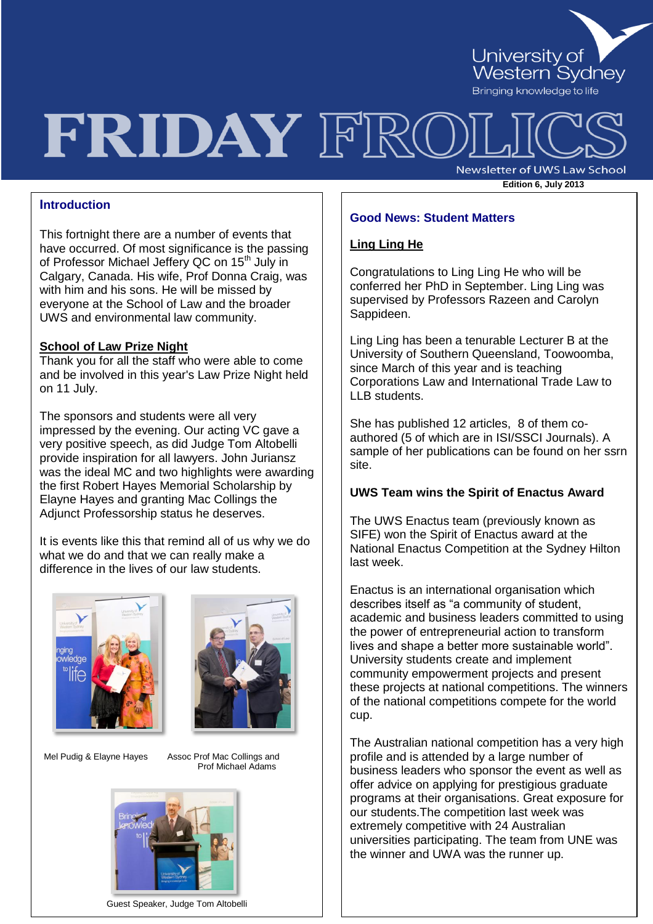

# FRIDAY FRO

**Newsletter of UWS Law School Edition 6, July <sup>2013</sup>**

#### **Introduction**

This fortnight there are a number of events that have occurred. Of most significance is the passing of Professor Michael Jeffery QC on 15<sup>th</sup> July in Calgary, Canada. His wife, Prof Donna Craig, was with him and his sons. He will be missed by everyone at the School of Law and the broader UWS and environmental law community.

#### **School of Law Prize Night**

Thank you for all the staff who were able to come and be involved in this year's Law Prize Night held on 11 July.

The sponsors and students were all very impressed by the evening. Our acting VC gave a very positive speech, as did Judge Tom Altobelli provide inspiration for all lawyers. John Juriansz was the ideal MC and two highlights were awarding the first Robert Hayes Memorial Scholarship by Elayne Hayes and granting Mac Collings the Adjunct Professorship status he deserves.

It is events like this that remind all of us why we do what we do and that we can really make a difference in the lives of our law students.





Mel Pudig & Elayne Hayes Assoc Prof Mac Collings and

Prof Michael Adams



Guest Speaker, Judge Tom Altobelli

#### **Good News: Student Matters**

#### **Ling Ling He**

Congratulations to Ling Ling He who will be conferred her PhD in September. Ling Ling was supervised by Professors Razeen and Carolyn Sappideen.

Ling Ling has been a tenurable Lecturer B at the University of Southern Queensland, Toowoomba, since March of this year and is teaching Corporations Law and International Trade Law to LLB students.

She has published 12 articles, 8 of them coauthored (5 of which are in ISI/SSCI Journals). A sample of her publications can be found on her ssrn site.

#### **UWS Team wins the Spirit of Enactus Award**

The UWS Enactus team (previously known as SIFE) won the Spirit of Enactus award at the National Enactus Competition at the Sydney Hilton last week.

Enactus is an international organisation which describes itself as "a community of student, academic and business leaders committed to using the power of entrepreneurial action to transform lives and shape a better more sustainable world". University students create and implement community empowerment projects and present these projects at national competitions. The winners of the national competitions compete for the world cup.

The Australian national competition has a very high profile and is attended by a large number of business leaders who sponsor the event as well as offer advice on applying for prestigious graduate programs at their organisations. Great exposure for our students.The competition last week was extremely competitive with 24 Australian universities participating. The team from UNE was the winner and UWA was the runner up.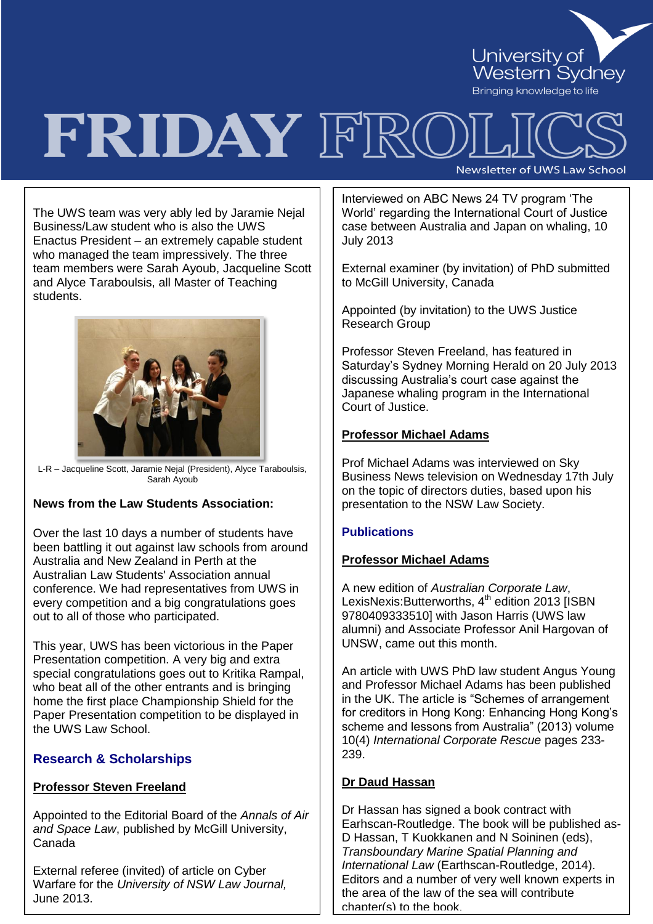

# FRIDAY FRC Newsletter of UWS Law School

The UWS team was very ably led by Jaramie Nejal Business/Law student who is also the UWS Enactus President – an extremely capable student who managed the team impressively. The three team members were Sarah Ayoub, Jacqueline Scott and Alyce Taraboulsis, all Master of Teaching students.



L-R – Jacqueline Scott, Jaramie Nejal (President), Alyce Taraboulsis, Sarah Ayoub

# **News from the Law Students Association:**

Over the last 10 days a number of students have been battling it out against law schools from around Australia and New Zealand in Perth at the Australian Law Students' Association annual conference. We had representatives from UWS in every competition and a big congratulations goes out to all of those who participated.

This year, UWS has been victorious in the Paper Presentation competition. A very big and extra special congratulations goes out to Kritika Rampal, who beat all of the other entrants and is bringing home the first place Championship Shield for the Paper Presentation competition to be displayed in the UWS Law School.

# **Research & Scholarships**

# **Professor Steven Freeland**

Appointed to the Editorial Board of the *Annals of Air and Space Law*, published by McGill University, Canada

External referee (invited) of article on Cyber Warfare for the *University of NSW Law Journal,*  June 2013.

Interviewed on ABC News 24 TV program "The World" regarding the International Court of Justice case between Australia and Japan on whaling, 10 July 2013

External examiner (by invitation) of PhD submitted to McGill University, Canada

Appointed (by invitation) to the UWS Justice Research Group

Professor Steven Freeland, has featured in Saturday"s Sydney Morning Herald on 20 July 2013 discussing Australia"s court case against the Japanese whaling program in the International Court of Justice.

#### **Professor Michael Adams**

Prof Michael Adams was interviewed on Sky Business News television on Wednesday 17th July on the topic of directors duties, based upon his presentation to the NSW Law Society.

# **Publications**

#### **Professor Michael Adams**

A new edition of *Australian Corporate Law*, LexisNexis: Butterworths, 4<sup>th</sup> edition 2013 [ISBN 9780409333510] with Jason Harris (UWS law alumni) and Associate Professor Anil Hargovan of UNSW, came out this month.

An article with UWS PhD law student Angus Young and Professor Michael Adams has been published in the UK. The article is "Schemes of arrangement for creditors in Hong Kong: Enhancing Hong Kong"s scheme and lessons from Australia" (2013) volume 10(4) *International Corporate Rescue* pages 233- 239.

# **Dr Daud Hassan**

Dr Hassan has signed a book contract with Earhscan-Routledge. The book will be published as-D Hassan, T Kuokkanen and N Soininen (eds), *Transboundary Marine Spatial Planning and International Law* (Earthscan-Routledge, 2014). Editors and a number of very well known experts in the area of the law of the sea will contribute chapter(s) to the book.